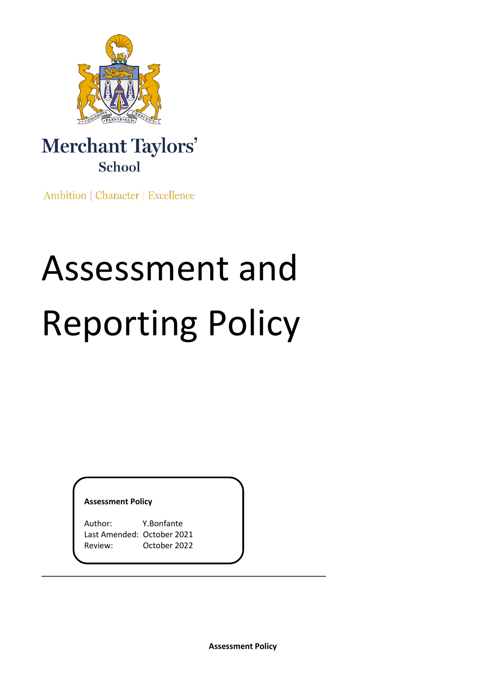

# Merchant Taylors' School

**Ambition | Character | Excellence** 

# Assessment and Reporting Policy

**Assessment Policy**

Author: Y.Bonfante Last Amended: October 2021 Review: October 2022

**\_\_\_\_\_\_\_\_\_\_\_\_\_\_\_\_\_\_\_\_\_\_\_\_\_\_\_\_\_\_\_\_\_\_\_\_\_\_\_\_\_\_\_\_\_\_\_\_\_\_\_\_\_\_\_\_\_\_\_\_\_\_\_\_\_\_\_\_\_\_**

**Assessment Policy**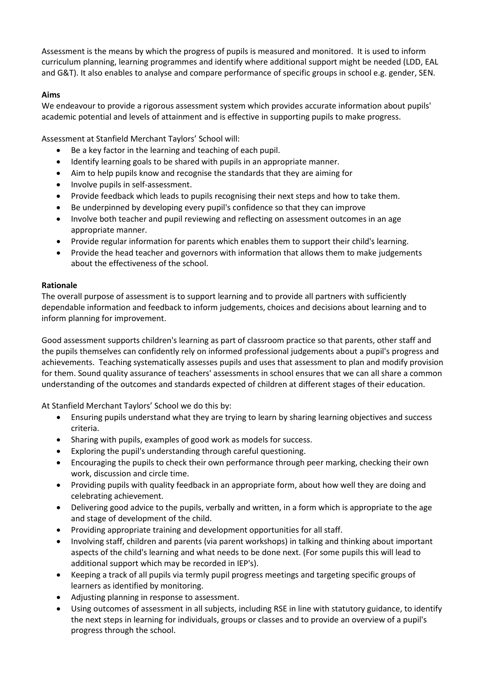Assessment is the means by which the progress of pupils is measured and monitored. It is used to inform curriculum planning, learning programmes and identify where additional support might be needed (LDD, EAL and G&T). It also enables to analyse and compare performance of specific groups in school e.g. gender, SEN.

# **Aims**

We endeavour to provide a rigorous assessment system which provides accurate information about pupils' academic potential and levels of attainment and is effective in supporting pupils to make progress.

Assessment at Stanfield Merchant Taylors' School will:

- Be a key factor in the learning and teaching of each pupil.
- Identify learning goals to be shared with pupils in an appropriate manner.
- Aim to help pupils know and recognise the standards that they are aiming for
- Involve pupils in self-assessment.
- Provide feedback which leads to pupils recognising their next steps and how to take them.
- Be underpinned by developing every pupil's confidence so that they can improve
- Involve both teacher and pupil reviewing and reflecting on assessment outcomes in an age appropriate manner.
- Provide regular information for parents which enables them to support their child's learning.
- Provide the head teacher and governors with information that allows them to make judgements about the effectiveness of the school.

# **Rationale**

The overall purpose of assessment is to support learning and to provide all partners with sufficiently dependable information and feedback to inform judgements, choices and decisions about learning and to inform planning for improvement.

Good assessment supports children's learning as part of classroom practice so that parents, other staff and the pupils themselves can confidently rely on informed professional judgements about a pupil's progress and achievements. Teaching systematically assesses pupils and uses that assessment to plan and modify provision for them. Sound quality assurance of teachers' assessments in school ensures that we can all share a common understanding of the outcomes and standards expected of children at different stages of their education.

At Stanfield Merchant Taylors' School we do this by:

- Ensuring pupils understand what they are trying to learn by sharing learning objectives and success criteria.
- Sharing with pupils, examples of good work as models for success.
- Exploring the pupil's understanding through careful questioning.
- Encouraging the pupils to check their own performance through peer marking, checking their own work, discussion and circle time.
- Providing pupils with quality feedback in an appropriate form, about how well they are doing and celebrating achievement.
- Delivering good advice to the pupils, verbally and written, in a form which is appropriate to the age and stage of development of the child.
- Providing appropriate training and development opportunities for all staff.
- Involving staff, children and parents (via parent workshops) in talking and thinking about important aspects of the child's learning and what needs to be done next. (For some pupils this will lead to additional support which may be recorded in IEP's).
- Keeping a track of all pupils via termly pupil progress meetings and targeting specific groups of learners as identified by monitoring.
- Adjusting planning in response to assessment.
- Using outcomes of assessment in all subjects, including RSE in line with statutory guidance, to identify the next steps in learning for individuals, groups or classes and to provide an overview of a pupil's progress through the school.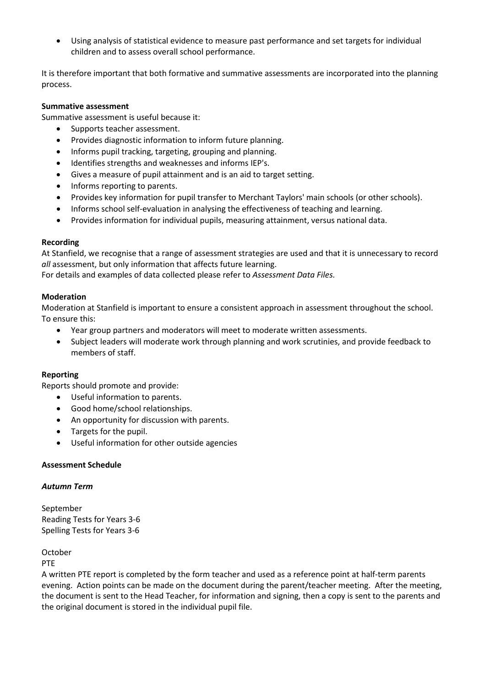• Using analysis of statistical evidence to measure past performance and set targets for individual children and to assess overall school performance.

It is therefore important that both formative and summative assessments are incorporated into the planning process.

#### **Summative assessment**

Summative assessment is useful because it:

- Supports teacher assessment.
- Provides diagnostic information to inform future planning.
- Informs pupil tracking, targeting, grouping and planning.
- Identifies strengths and weaknesses and informs IEP's.
- Gives a measure of pupil attainment and is an aid to target setting.
- Informs reporting to parents.
- Provides key information for pupil transfer to Merchant Taylors' main schools (or other schools).
- Informs school self-evaluation in analysing the effectiveness of teaching and learning.
- Provides information for individual pupils, measuring attainment, versus national data.

#### **Recording**

At Stanfield, we recognise that a range of assessment strategies are used and that it is unnecessary to record *all* assessment, but only information that affects future learning.

For details and examples of data collected please refer to *Assessment Data Files.*

# **Moderation**

Moderation at Stanfield is important to ensure a consistent approach in assessment throughout the school. To ensure this:

- Year group partners and moderators will meet to moderate written assessments.
- Subject leaders will moderate work through planning and work scrutinies, and provide feedback to members of staff.

#### **Reporting**

Reports should promote and provide:

- Useful information to parents.
- Good home/school relationships.
- An opportunity for discussion with parents.
- Targets for the pupil.
- Useful information for other outside agencies

#### **Assessment Schedule**

#### *Autumn Term*

September Reading Tests for Years 3-6 Spelling Tests for Years 3-6

#### October

PTE

A written PTE report is completed by the form teacher and used as a reference point at half-term parents evening. Action points can be made on the document during the parent/teacher meeting. After the meeting, the document is sent to the Head Teacher, for information and signing, then a copy is sent to the parents and the original document is stored in the individual pupil file.